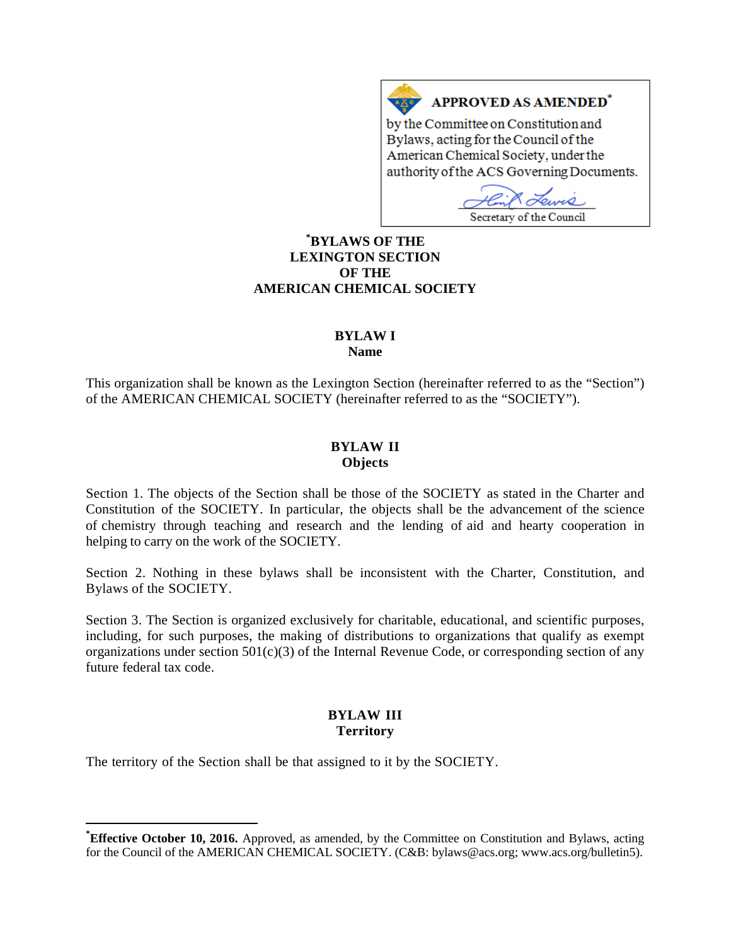# **APPROVED AS AMENDED<sup>\*</sup>**

by the Committee on Constitution and Bylaws, acting for the Council of the American Chemical Society, under the authority of the ACS Governing Documents.

 $2.000$ Secretary of the Council

# **[\\*](#page-0-0) BYLAWS OF THE LEXINGTON SECTION OF THE AMERICAN CHEMICAL SOCIETY**

 $A \underline{X}$ 

# **BYLAW I**

**Name**

This organization shall be known as the Lexington Section (hereinafter referred to as the "Section") of the AMERICAN CHEMICAL SOCIETY (hereinafter referred to as the "SOCIETY").

# **BYLAW II Objects**

Section 1. The objects of the Section shall be those of the SOCIETY as stated in the Charter and Constitution of the SOCIETY. In particular, the objects shall be the advancement of the science of chemistry through teaching and research and the lending of aid and hearty cooperation in helping to carry on the work of the SOCIETY.

Section 2. Nothing in these bylaws shall be inconsistent with the Charter, Constitution, and Bylaws of the SOCIETY.

Section 3. The Section is organized exclusively for charitable, educational, and scientific purposes, including, for such purposes, the making of distributions to organizations that qualify as exempt organizations under section  $501(c)(3)$  of the Internal Revenue Code, or corresponding section of any future federal tax code.

# **BYLAW III Territory**

The territory of the Section shall be that assigned to it by the SOCIETY.

<span id="page-0-0"></span>**\* Effective October 10, 2016.** Approved, as amended, by the Committee on Constitution and Bylaws, acting for the Council of the AMERICAN CHEMICAL SOCIETY. (C&B: bylaws@acs.org; www.acs.org/bulletin5).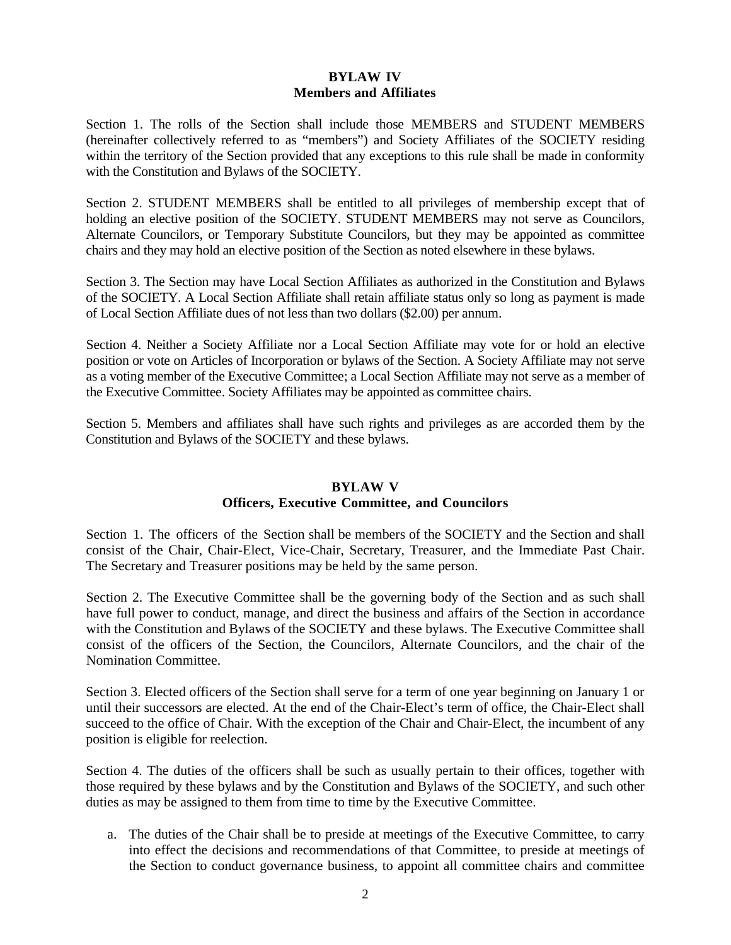# **BYLAW IV Members and Affiliates**

Section 1. The rolls of the Section shall include those MEMBERS and STUDENT MEMBERS (hereinafter collectively referred to as "members") and Society Affiliates of the SOCIETY residing within the territory of the Section provided that any exceptions to this rule shall be made in conformity with the Constitution and Bylaws of the SOCIETY.

Section 2. STUDENT MEMBERS shall be entitled to all privileges of membership except that of holding an elective position of the SOCIETY. STUDENT MEMBERS may not serve as Councilors, Alternate Councilors, or Temporary Substitute Councilors, but they may be appointed as committee chairs and they may hold an elective position of the Section as noted elsewhere in these bylaws.

Section 3. The Section may have Local Section Affiliates as authorized in the Constitution and Bylaws of the SOCIETY. A Local Section Affiliate shall retain affiliate status only so long as payment is made of Local Section Affiliate dues of not less than two dollars (\$2.00) per annum.

Section 4. Neither a Society Affiliate nor a Local Section Affiliate may vote for or hold an elective position or vote on Articles of Incorporation or bylaws of the Section. A Society Affiliate may not serve as a voting member of the Executive Committee; a Local Section Affiliate may not serve as a member of the Executive Committee. Society Affiliates may be appointed as committee chairs.

Section 5. Members and affiliates shall have such rights and privileges as are accorded them by the Constitution and Bylaws of the SOCIETY and these bylaws.

### **BYLAW V**

# **Officers, Executive Committee, and Councilors**

Section 1. The officers of the Section shall be members of the SOCIETY and the Section and shall consist of the Chair, Chair-Elect, Vice-Chair, Secretary, Treasurer, and the Immediate Past Chair. The Secretary and Treasurer positions may be held by the same person.

Section 2. The Executive Committee shall be the governing body of the Section and as such shall have full power to conduct, manage, and direct the business and affairs of the Section in accordance with the Constitution and Bylaws of the SOCIETY and these bylaws. The Executive Committee shall consist of the officers of the Section, the Councilors, Alternate Councilors, and the chair of the Nomination Committee.

Section 3. Elected officers of the Section shall serve for a term of one year beginning on January 1 or until their successors are elected. At the end of the Chair-Elect's term of office, the Chair-Elect shall succeed to the office of Chair. With the exception of the Chair and Chair-Elect, the incumbent of any position is eligible for reelection.

Section 4. The duties of the officers shall be such as usually pertain to their offices, together with those required by these bylaws and by the Constitution and Bylaws of the SOCIETY, and such other duties as may be assigned to them from time to time by the Executive Committee.

a. The duties of the Chair shall be to preside at meetings of the Executive Committee, to carry into effect the decisions and recommendations of that Committee, to preside at meetings of the Section to conduct governance business, to appoint all committee chairs and committee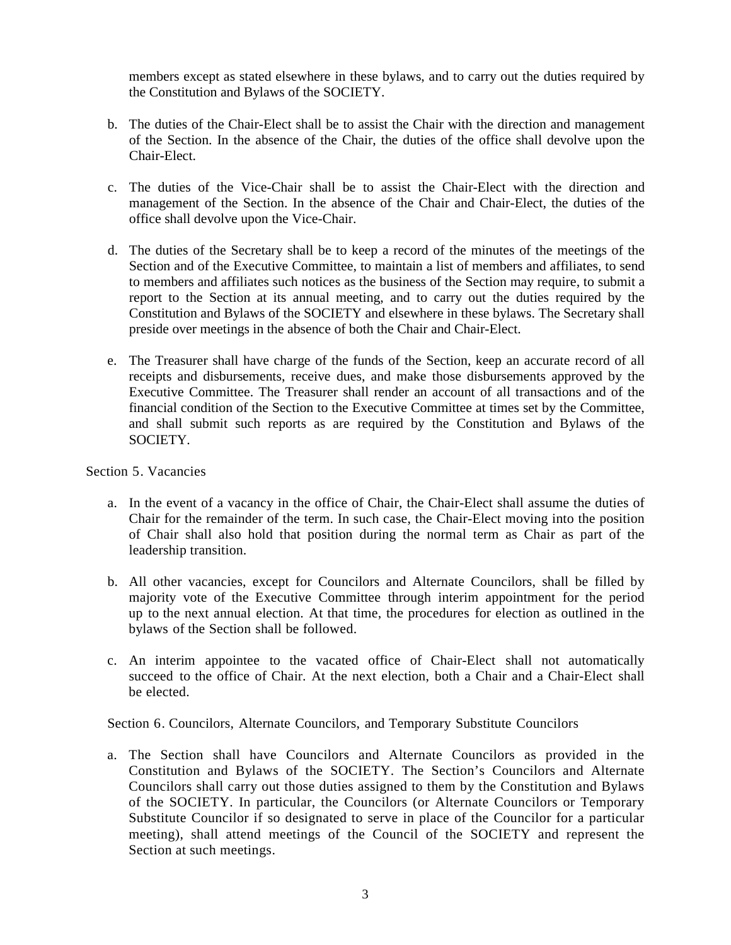members except as stated elsewhere in these bylaws, and to carry out the duties required by the Constitution and Bylaws of the SOCIETY.

- b. The duties of the Chair-Elect shall be to assist the Chair with the direction and management of the Section. In the absence of the Chair, the duties of the office shall devolve upon the Chair-Elect.
- c. The duties of the Vice-Chair shall be to assist the Chair-Elect with the direction and management of the Section. In the absence of the Chair and Chair-Elect, the duties of the office shall devolve upon the Vice-Chair.
- d. The duties of the Secretary shall be to keep a record of the minutes of the meetings of the Section and of the Executive Committee, to maintain a list of members and affiliates, to send to members and affiliates such notices as the business of the Section may require, to submit a report to the Section at its annual meeting, and to carry out the duties required by the Constitution and Bylaws of the SOCIETY and elsewhere in these bylaws. The Secretary shall preside over meetings in the absence of both the Chair and Chair-Elect.
- e. The Treasurer shall have charge of the funds of the Section, keep an accurate record of all receipts and disbursements, receive dues, and make those disbursements approved by the Executive Committee. The Treasurer shall render an account of all transactions and of the financial condition of the Section to the Executive Committee at times set by the Committee, and shall submit such reports as are required by the Constitution and Bylaws of the SOCIETY.

Section 5. Vacancies

- a. In the event of a vacancy in the office of Chair, the Chair-Elect shall assume the duties of Chair for the remainder of the term. In such case, the Chair-Elect moving into the position of Chair shall also hold that position during the normal term as Chair as part of the leadership transition.
- b. All other vacancies, except for Councilors and Alternate Councilors, shall be filled by majority vote of the Executive Committee through interim appointment for the period up to the next annual election. At that time, the procedures for election as outlined in the bylaws of the Section shall be followed.
- c. An interim appointee to the vacated office of Chair-Elect shall not automatically succeed to the office of Chair. At the next election, both a Chair and a Chair-Elect shall be elected.

Section 6. Councilors, Alternate Councilors, and Temporary Substitute Councilors

a. The Section shall have Councilors and Alternate Councilors as provided in the Constitution and Bylaws of the SOCIETY. The Section's Councilors and Alternate Councilors shall carry out those duties assigned to them by the Constitution and Bylaws of the SOCIETY. In particular, the Councilors (or Alternate Councilors or Temporary Substitute Councilor if so designated to serve in place of the Councilor for a particular meeting), shall attend meetings of the Council of the SOCIETY and represent the Section at such meetings.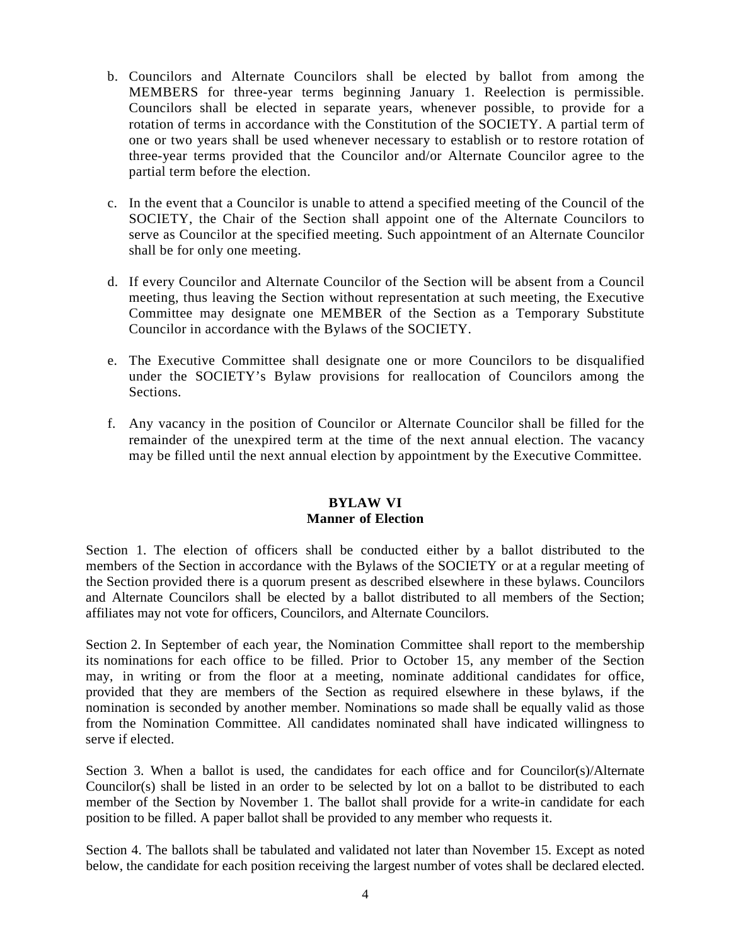- b. Councilors and Alternate Councilors shall be elected by ballot from among the MEMBERS for three-year terms beginning January 1. Reelection is permissible. Councilors shall be elected in separate years, whenever possible, to provide for a rotation of terms in accordance with the Constitution of the SOCIETY. A partial term of one or two years shall be used whenever necessary to establish or to restore rotation of three-year terms provided that the Councilor and/or Alternate Councilor agree to the partial term before the election.
- c. In the event that a Councilor is unable to attend a specified meeting of the Council of the SOCIETY, the Chair of the Section shall appoint one of the Alternate Councilors to serve as Councilor at the specified meeting. Such appointment of an Alternate Councilor shall be for only one meeting.
- d. If every Councilor and Alternate Councilor of the Section will be absent from a Council meeting, thus leaving the Section without representation at such meeting, the Executive Committee may designate one MEMBER of the Section as a Temporary Substitute Councilor in accordance with the Bylaws of the SOCIETY.
- e. The Executive Committee shall designate one or more Councilors to be disqualified under the SOCIETY's Bylaw provisions for reallocation of Councilors among the Sections.
- f. Any vacancy in the position of Councilor or Alternate Councilor shall be filled for the remainder of the unexpired term at the time of the next annual election. The vacancy may be filled until the next annual election by appointment by the Executive Committee.

#### **BYLAW VI Manner of Election**

Section 1. The election of officers shall be conducted either by a ballot distributed to the members of the Section in accordance with the Bylaws of the SOCIETY or at a regular meeting of the Section provided there is a quorum present as described elsewhere in these bylaws. Councilors and Alternate Councilors shall be elected by a ballot distributed to all members of the Section; affiliates may not vote for officers, Councilors, and Alternate Councilors.

Section 2. In September of each year, the Nomination Committee shall report to the membership its nominations for each office to be filled. Prior to October 15, any member of the Section may, in writing or from the floor at a meeting, nominate additional candidates for office, provided that they are members of the Section as required elsewhere in these bylaws, if the nomination is seconded by another member. Nominations so made shall be equally valid as those from the Nomination Committee. All candidates nominated shall have indicated willingness to serve if elected.

Section 3. When a ballot is used, the candidates for each office and for Councilor(s)/Alternate Councilor(s) shall be listed in an order to be selected by lot on a ballot to be distributed to each member of the Section by November 1. The ballot shall provide for a write-in candidate for each position to be filled. A paper ballot shall be provided to any member who requests it.

Section 4. The ballots shall be tabulated and validated not later than November 15. Except as noted below, the candidate for each position receiving the largest number of votes shall be declared elected.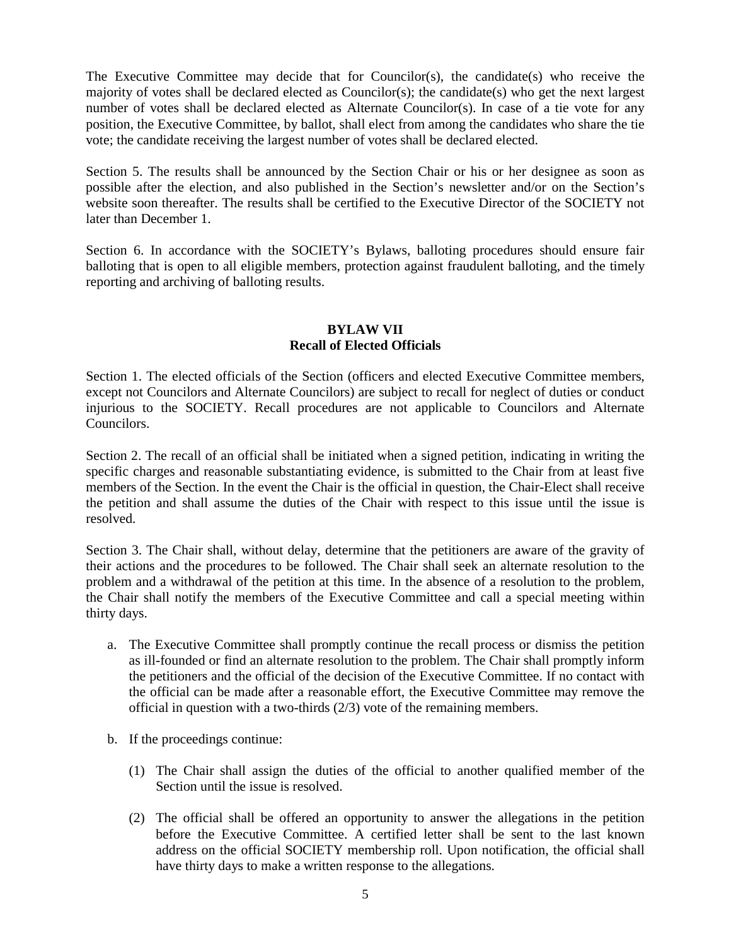The Executive Committee may decide that for Councilor(s), the candidate(s) who receive the majority of votes shall be declared elected as Councilor(s); the candidate(s) who get the next largest number of votes shall be declared elected as Alternate Councilor(s). In case of a tie vote for any position, the Executive Committee, by ballot, shall elect from among the candidates who share the tie vote; the candidate receiving the largest number of votes shall be declared elected.

Section 5. The results shall be announced by the Section Chair or his or her designee as soon as possible after the election, and also published in the Section's newsletter and/or on the Section's website soon thereafter. The results shall be certified to the Executive Director of the SOCIETY not later than December 1.

Section 6. In accordance with the SOCIETY's Bylaws, balloting procedures should ensure fair balloting that is open to all eligible members, protection against fraudulent balloting, and the timely reporting and archiving of balloting results.

# **BYLAW VII Recall of Elected Officials**

Section 1. The elected officials of the Section (officers and elected Executive Committee members, except not Councilors and Alternate Councilors) are subject to recall for neglect of duties or conduct injurious to the SOCIETY. Recall procedures are not applicable to Councilors and Alternate Councilors.

Section 2. The recall of an official shall be initiated when a signed petition, indicating in writing the specific charges and reasonable substantiating evidence, is submitted to the Chair from at least five members of the Section. In the event the Chair is the official in question, the Chair-Elect shall receive the petition and shall assume the duties of the Chair with respect to this issue until the issue is resolved.

Section 3. The Chair shall, without delay, determine that the petitioners are aware of the gravity of their actions and the procedures to be followed. The Chair shall seek an alternate resolution to the problem and a withdrawal of the petition at this time. In the absence of a resolution to the problem, the Chair shall notify the members of the Executive Committee and call a special meeting within thirty days.

- a. The Executive Committee shall promptly continue the recall process or dismiss the petition as ill-founded or find an alternate resolution to the problem. The Chair shall promptly inform the petitioners and the official of the decision of the Executive Committee. If no contact with the official can be made after a reasonable effort, the Executive Committee may remove the official in question with a two-thirds (2/3) vote of the remaining members.
- b. If the proceedings continue:
	- (1) The Chair shall assign the duties of the official to another qualified member of the Section until the issue is resolved.
	- (2) The official shall be offered an opportunity to answer the allegations in the petition before the Executive Committee. A certified letter shall be sent to the last known address on the official SOCIETY membership roll. Upon notification, the official shall have thirty days to make a written response to the allegations.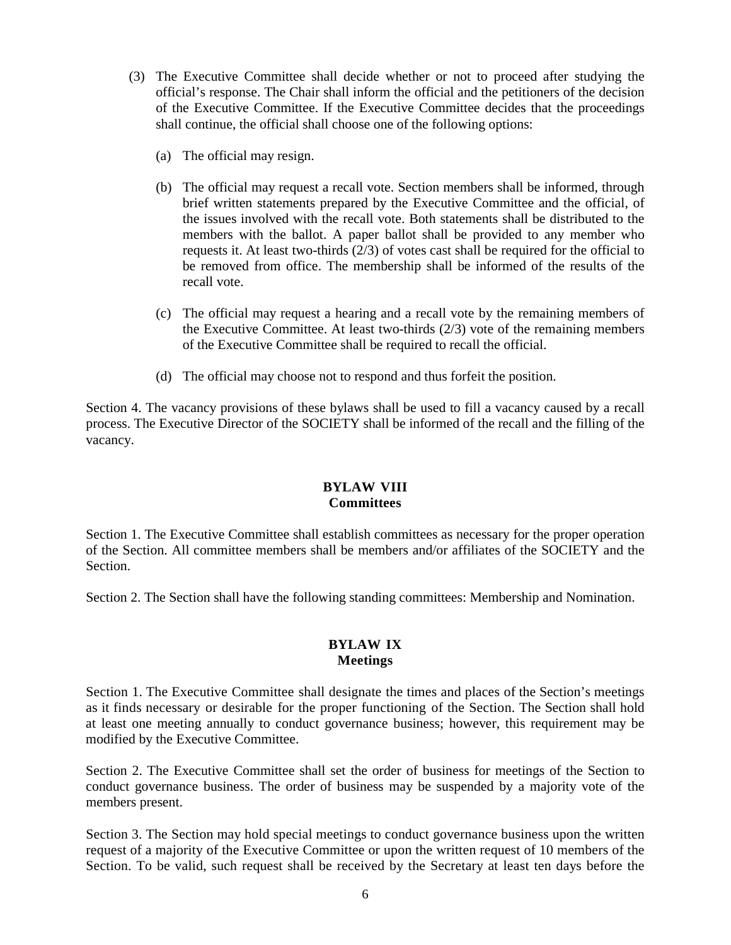- (3) The Executive Committee shall decide whether or not to proceed after studying the official's response. The Chair shall inform the official and the petitioners of the decision of the Executive Committee. If the Executive Committee decides that the proceedings shall continue, the official shall choose one of the following options:
	- (a) The official may resign.
	- (b) The official may request a recall vote. Section members shall be informed, through brief written statements prepared by the Executive Committee and the official, of the issues involved with the recall vote. Both statements shall be distributed to the members with the ballot. A paper ballot shall be provided to any member who requests it. At least two-thirds (2/3) of votes cast shall be required for the official to be removed from office. The membership shall be informed of the results of the recall vote.
	- (c) The official may request a hearing and a recall vote by the remaining members of the Executive Committee. At least two-thirds (2/3) vote of the remaining members of the Executive Committee shall be required to recall the official.
	- (d) The official may choose not to respond and thus forfeit the position.

Section 4. The vacancy provisions of these bylaws shall be used to fill a vacancy caused by a recall process. The Executive Director of the SOCIETY shall be informed of the recall and the filling of the vacancy.

# **BYLAW VIII Committees**

Section 1. The Executive Committee shall establish committees as necessary for the proper operation of the Section. All committee members shall be members and/or affiliates of the SOCIETY and the Section.

Section 2. The Section shall have the following standing committees: Membership and Nomination.

#### **BYLAW IX Meetings**

Section 1. The Executive Committee shall designate the times and places of the Section's meetings as it finds necessary or desirable for the proper functioning of the Section. The Section shall hold at least one meeting annually to conduct governance business; however, this requirement may be modified by the Executive Committee.

Section 2. The Executive Committee shall set the order of business for meetings of the Section to conduct governance business. The order of business may be suspended by a majority vote of the members present.

Section 3. The Section may hold special meetings to conduct governance business upon the written request of a majority of the Executive Committee or upon the written request of 10 members of the Section. To be valid, such request shall be received by the Secretary at least ten days before the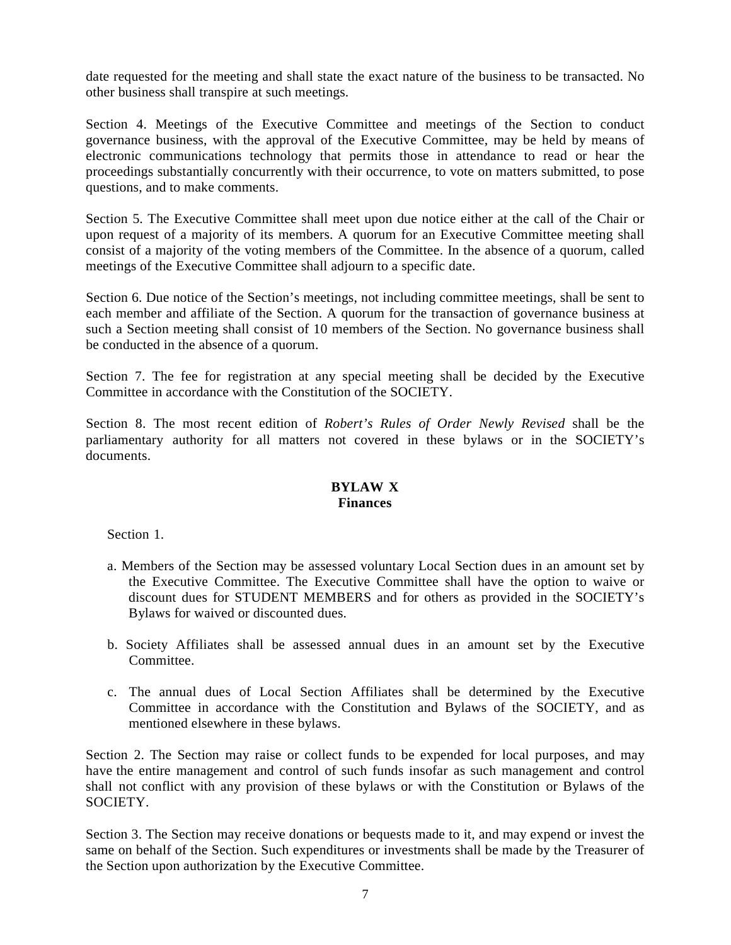date requested for the meeting and shall state the exact nature of the business to be transacted. No other business shall transpire at such meetings.

Section 4. Meetings of the Executive Committee and meetings of the Section to conduct governance business, with the approval of the Executive Committee, may be held by means of electronic communications technology that permits those in attendance to read or hear the proceedings substantially concurrently with their occurrence, to vote on matters submitted, to pose questions, and to make comments.

Section 5. The Executive Committee shall meet upon due notice either at the call of the Chair or upon request of a majority of its members. A quorum for an Executive Committee meeting shall consist of a majority of the voting members of the Committee. In the absence of a quorum, called meetings of the Executive Committee shall adjourn to a specific date.

Section 6. Due notice of the Section's meetings, not including committee meetings, shall be sent to each member and affiliate of the Section. A quorum for the transaction of governance business at such a Section meeting shall consist of 10 members of the Section. No governance business shall be conducted in the absence of a quorum.

Section 7. The fee for registration at any special meeting shall be decided by the Executive Committee in accordance with the Constitution of the SOCIETY.

Section 8. The most recent edition of *Robert's Rules of Order Newly Revised* shall be the parliamentary authority for all matters not covered in these bylaws or in the SOCIETY's documents.

### **BYLAW X Finances**

Section 1.

- a. Members of the Section may be assessed voluntary Local Section dues in an amount set by the Executive Committee. The Executive Committee shall have the option to waive or discount dues for STUDENT MEMBERS and for others as provided in the SOCIETY's Bylaws for waived or discounted dues.
- b. Society Affiliates shall be assessed annual dues in an amount set by the Executive Committee.
- c. The annual dues of Local Section Affiliates shall be determined by the Executive Committee in accordance with the Constitution and Bylaws of the SOCIETY, and as mentioned elsewhere in these bylaws.

Section 2. The Section may raise or collect funds to be expended for local purposes, and may have the entire management and control of such funds insofar as such management and control shall not conflict with any provision of these bylaws or with the Constitution or Bylaws of the SOCIETY.

Section 3. The Section may receive donations or bequests made to it, and may expend or invest the same on behalf of the Section. Such expenditures or investments shall be made by the Treasurer of the Section upon authorization by the Executive Committee.